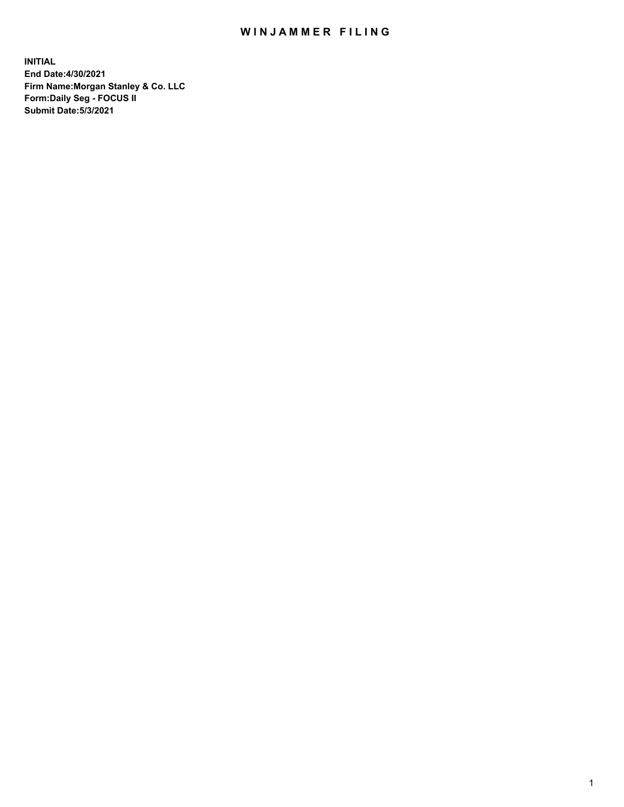## WIN JAMMER FILING

**INITIAL End Date:4/30/2021 Firm Name:Morgan Stanley & Co. LLC Form:Daily Seg - FOCUS II Submit Date:5/3/2021**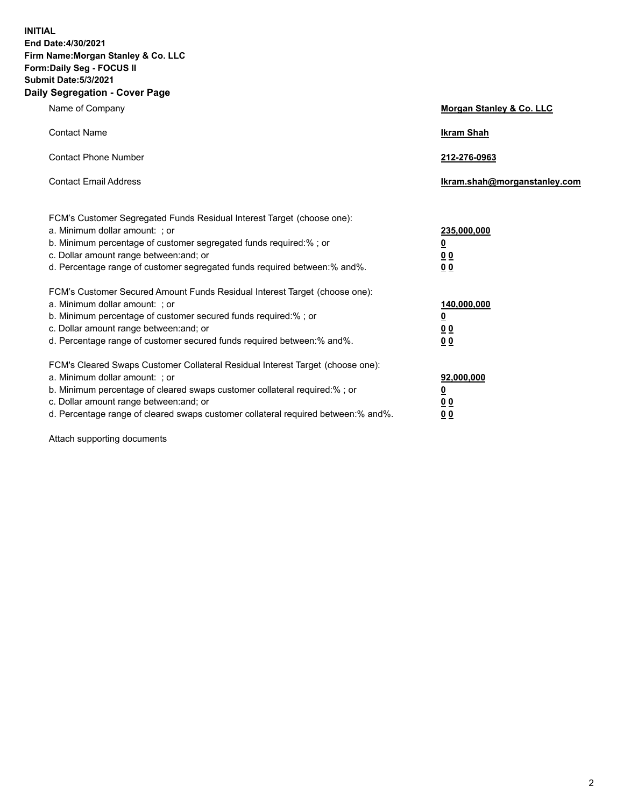**INITIAL End Date:4/30/2021 Firm Name:Morgan Stanley & Co. LLC Form:Daily Seg - FOCUS II Submit Date:5/3/2021 Daily Segregation - Cover Page**

| Name of Company                                                                                                                                                                                                                                                                                                                | Morgan Stanley & Co. LLC                                    |
|--------------------------------------------------------------------------------------------------------------------------------------------------------------------------------------------------------------------------------------------------------------------------------------------------------------------------------|-------------------------------------------------------------|
| <b>Contact Name</b>                                                                                                                                                                                                                                                                                                            | <b>Ikram Shah</b>                                           |
| <b>Contact Phone Number</b>                                                                                                                                                                                                                                                                                                    | 212-276-0963                                                |
| <b>Contact Email Address</b>                                                                                                                                                                                                                                                                                                   | Ikram.shah@morganstanley.com                                |
| FCM's Customer Segregated Funds Residual Interest Target (choose one):<br>a. Minimum dollar amount: ; or<br>b. Minimum percentage of customer segregated funds required:% ; or<br>c. Dollar amount range between: and; or<br>d. Percentage range of customer segregated funds required between:% and%.                         | 235,000,000<br><u>0</u><br>0 <sup>0</sup><br>00             |
| FCM's Customer Secured Amount Funds Residual Interest Target (choose one):<br>a. Minimum dollar amount: ; or<br>b. Minimum percentage of customer secured funds required:% ; or<br>c. Dollar amount range between: and; or<br>d. Percentage range of customer secured funds required between:% and%.                           | 140,000,000<br><u>0</u><br>0 <sub>0</sub><br>0 <sub>0</sub> |
| FCM's Cleared Swaps Customer Collateral Residual Interest Target (choose one):<br>a. Minimum dollar amount: ; or<br>b. Minimum percentage of cleared swaps customer collateral required:% ; or<br>c. Dollar amount range between: and; or<br>d. Percentage range of cleared swaps customer collateral required between:% and%. | 92,000,000<br><u>0</u><br>0 Q<br>0 <sub>0</sub>             |

Attach supporting documents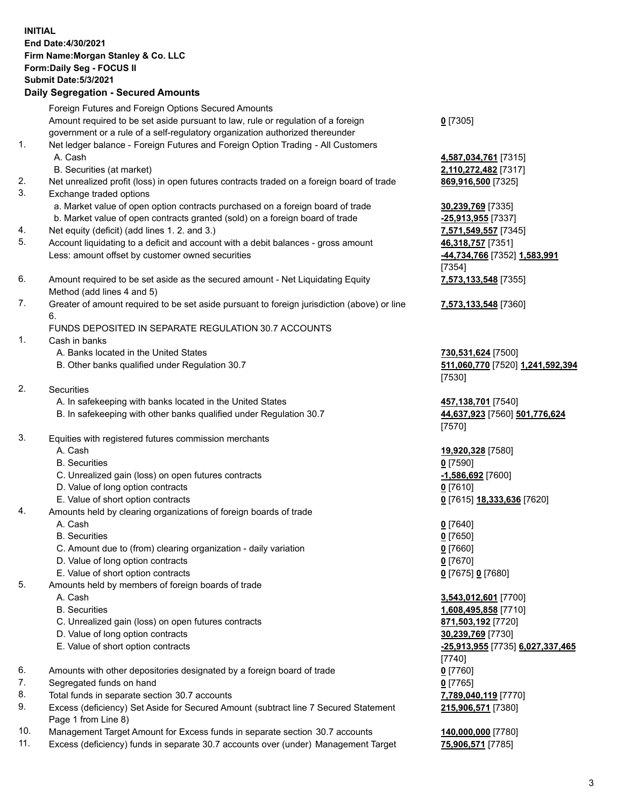| <b>INITIAL</b> | End Date: 4/30/2021<br>Firm Name: Morgan Stanley & Co. LLC<br>Form: Daily Seg - FOCUS II<br><b>Submit Date: 5/3/2021</b><br><b>Daily Segregation - Secured Amounts</b> |                                                        |
|----------------|------------------------------------------------------------------------------------------------------------------------------------------------------------------------|--------------------------------------------------------|
|                | Foreign Futures and Foreign Options Secured Amounts                                                                                                                    |                                                        |
|                | Amount required to be set aside pursuant to law, rule or regulation of a foreign                                                                                       | $0$ [7305]                                             |
| 1.             | government or a rule of a self-regulatory organization authorized thereunder<br>Net ledger balance - Foreign Futures and Foreign Option Trading - All Customers        |                                                        |
|                | A. Cash                                                                                                                                                                | 4,587,034,761 [7315]                                   |
|                | B. Securities (at market)                                                                                                                                              | 2,110,272,482 [7317]                                   |
| 2.             | Net unrealized profit (loss) in open futures contracts traded on a foreign board of trade                                                                              | 869,916,500 [7325]                                     |
| 3.             | Exchange traded options                                                                                                                                                |                                                        |
|                | a. Market value of open option contracts purchased on a foreign board of trade                                                                                         | 30,239,769 [7335]                                      |
|                | b. Market value of open contracts granted (sold) on a foreign board of trade                                                                                           | -25,913,955 [7337]                                     |
| 4.<br>5.       | Net equity (deficit) (add lines 1. 2. and 3.)<br>Account liquidating to a deficit and account with a debit balances - gross amount                                     | 7,571,549,557 [7345]<br>46,318,757 [7351]              |
|                | Less: amount offset by customer owned securities                                                                                                                       | -44,734,766 [7352] 1,583,991<br>[7354]                 |
| 6.             | Amount required to be set aside as the secured amount - Net Liquidating Equity<br>Method (add lines 4 and 5)                                                           | 7,573,133,548 [7355]                                   |
| 7.             | Greater of amount required to be set aside pursuant to foreign jurisdiction (above) or line<br>6.                                                                      | 7,573,133,548 [7360]                                   |
|                | FUNDS DEPOSITED IN SEPARATE REGULATION 30.7 ACCOUNTS                                                                                                                   |                                                        |
| 1.             | Cash in banks                                                                                                                                                          |                                                        |
|                | A. Banks located in the United States<br>B. Other banks qualified under Regulation 30.7                                                                                | 730,531,624 [7500]<br>511,060,770 [7520] 1,241,592,394 |
|                |                                                                                                                                                                        | [7530]                                                 |
| 2.             | Securities                                                                                                                                                             |                                                        |
|                | A. In safekeeping with banks located in the United States                                                                                                              | 457,138,701 [7540]                                     |
|                | B. In safekeeping with other banks qualified under Regulation 30.7                                                                                                     | 44,637,923 [7560] 501,776,624<br>[7570]                |
| 3.             | Equities with registered futures commission merchants                                                                                                                  |                                                        |
|                | A. Cash<br><b>B.</b> Securities                                                                                                                                        | 19,920,328 [7580]<br>$0$ [7590]                        |
|                | C. Unrealized gain (loss) on open futures contracts                                                                                                                    | -1,586,692 <sup>[7600]</sup>                           |
|                | D. Value of long option contracts                                                                                                                                      | $0$ [7610]                                             |
|                | E. Value of short option contracts                                                                                                                                     | 0 [7615] 18,333,636 [7620]                             |
| 4.             | Amounts held by clearing organizations of foreign boards of trade                                                                                                      |                                                        |
|                | A. Cash                                                                                                                                                                | $0$ [7640]                                             |
|                | <b>B.</b> Securities                                                                                                                                                   | $0$ [7650]                                             |
|                | C. Amount due to (from) clearing organization - daily variation<br>D. Value of long option contracts                                                                   | $0$ [7660]<br>$0$ [7670]                               |
|                | E. Value of short option contracts                                                                                                                                     | 0 [7675] 0 [7680]                                      |
| 5.             | Amounts held by members of foreign boards of trade                                                                                                                     |                                                        |
|                | A. Cash                                                                                                                                                                | 3,543,012,601 [7700]                                   |
|                | <b>B.</b> Securities                                                                                                                                                   | 1,608,495,858 [7710]                                   |
|                | C. Unrealized gain (loss) on open futures contracts                                                                                                                    | 871,503,192 [7720]                                     |
|                | D. Value of long option contracts                                                                                                                                      | 30,239,769 [7730]                                      |
|                | E. Value of short option contracts                                                                                                                                     | -25,913,955 [7735] 6,027,337,465<br>$[7740]$           |
| 6.             | Amounts with other depositories designated by a foreign board of trade                                                                                                 | $0$ [7760]                                             |
| 7.<br>8.       | Segregated funds on hand<br>Total funds in separate section 30.7 accounts                                                                                              | $0$ [7765]<br>7,789,040,119 [7770]                     |
| 9.             | Excess (deficiency) Set Aside for Secured Amount (subtract line 7 Secured Statement                                                                                    | 215,906,571 [7380]                                     |

- Page 1 from Line 8) 10. Management Target Amount for Excess funds in separate section 30.7 accounts **140,000,000** [7780]
- 11. Excess (deficiency) funds in separate 30.7 accounts over (under) Management Target **75,906,571** [7785]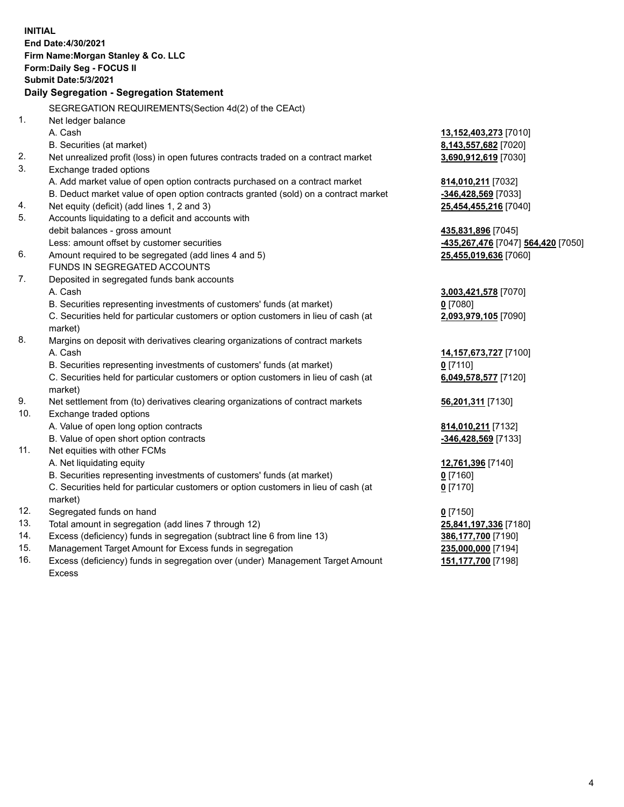|     | <b>INITIAL</b>                                                                                 |                                   |
|-----|------------------------------------------------------------------------------------------------|-----------------------------------|
|     | End Date: 4/30/2021                                                                            |                                   |
|     | Firm Name: Morgan Stanley & Co. LLC                                                            |                                   |
|     | Form: Daily Seg - FOCUS II                                                                     |                                   |
|     | <b>Submit Date: 5/3/2021</b>                                                                   |                                   |
|     | Daily Segregation - Segregation Statement                                                      |                                   |
|     | SEGREGATION REQUIREMENTS(Section 4d(2) of the CEAct)                                           |                                   |
| 1.  | Net ledger balance                                                                             |                                   |
|     | A. Cash                                                                                        | 13,152,403,273 [7010]             |
|     | B. Securities (at market)                                                                      | 8,143,557,682 [7020]              |
| 2.  | Net unrealized profit (loss) in open futures contracts traded on a contract market             | 3,690,912,619 [7030]              |
| 3.  | Exchange traded options                                                                        |                                   |
|     | A. Add market value of open option contracts purchased on a contract market                    | 814,010,211 [7032]                |
|     | B. Deduct market value of open option contracts granted (sold) on a contract market            | -346,428,569 [7033]               |
| 4.  | Net equity (deficit) (add lines 1, 2 and 3)                                                    | 25,454,455,216 [7040]             |
| 5.  | Accounts liquidating to a deficit and accounts with                                            |                                   |
|     | debit balances - gross amount                                                                  | 435,831,896 [7045]                |
|     | Less: amount offset by customer securities                                                     | 435,267,476 [7047] 564,420 [7050] |
| 6.  | Amount required to be segregated (add lines 4 and 5)                                           | 25,455,019,636 [7060]             |
|     | FUNDS IN SEGREGATED ACCOUNTS                                                                   |                                   |
| 7.  | Deposited in segregated funds bank accounts                                                    |                                   |
|     | A. Cash                                                                                        | 3,003,421,578 [7070]              |
|     | B. Securities representing investments of customers' funds (at market)                         | $0$ [7080]                        |
|     | C. Securities held for particular customers or option customers in lieu of cash (at            | 2,093,979,105 [7090]              |
|     | market)                                                                                        |                                   |
| 8.  | Margins on deposit with derivatives clearing organizations of contract markets                 |                                   |
|     | A. Cash                                                                                        | 14,157,673,727 [7100]             |
|     | B. Securities representing investments of customers' funds (at market)                         | $0$ [7110]                        |
|     | C. Securities held for particular customers or option customers in lieu of cash (at<br>market) | 6,049,578,577 [7120]              |
| 9.  | Net settlement from (to) derivatives clearing organizations of contract markets                | 56,201,311 [7130]                 |
| 10. | Exchange traded options                                                                        |                                   |
|     | A. Value of open long option contracts                                                         | 814,010,211 [7132]                |
|     | B. Value of open short option contracts                                                        | -346,428,569 [7133]               |
| 11. | Net equities with other FCMs                                                                   |                                   |
|     | A. Net liquidating equity                                                                      | 12,761,396 [7140]                 |
|     | B. Securities representing investments of customers' funds (at market)                         | $0$ [7160]                        |
|     | C. Securities held for particular customers or option customers in lieu of cash (at            | $0$ [7170]                        |
|     | market)                                                                                        |                                   |
| 12. | Segregated funds on hand                                                                       | $0$ [7150]                        |
| 13. | Total amount in segregation (add lines 7 through 12)                                           | 25,841,197,336 [7180]             |
| 14. | Excess (deficiency) funds in segregation (subtract line 6 from line 13)                        | 386,177,700 [7190]                |
| 15. | Management Target Amount for Excess funds in segregation                                       | 235,000,000 [7194]                |
| 16. | Excess (deficiency) funds in segregation over (under) Management Target Amount                 | 151,177,700 [7198]                |

16. Excess (deficiency) funds in segregation over (under) Management Target Amount Excess